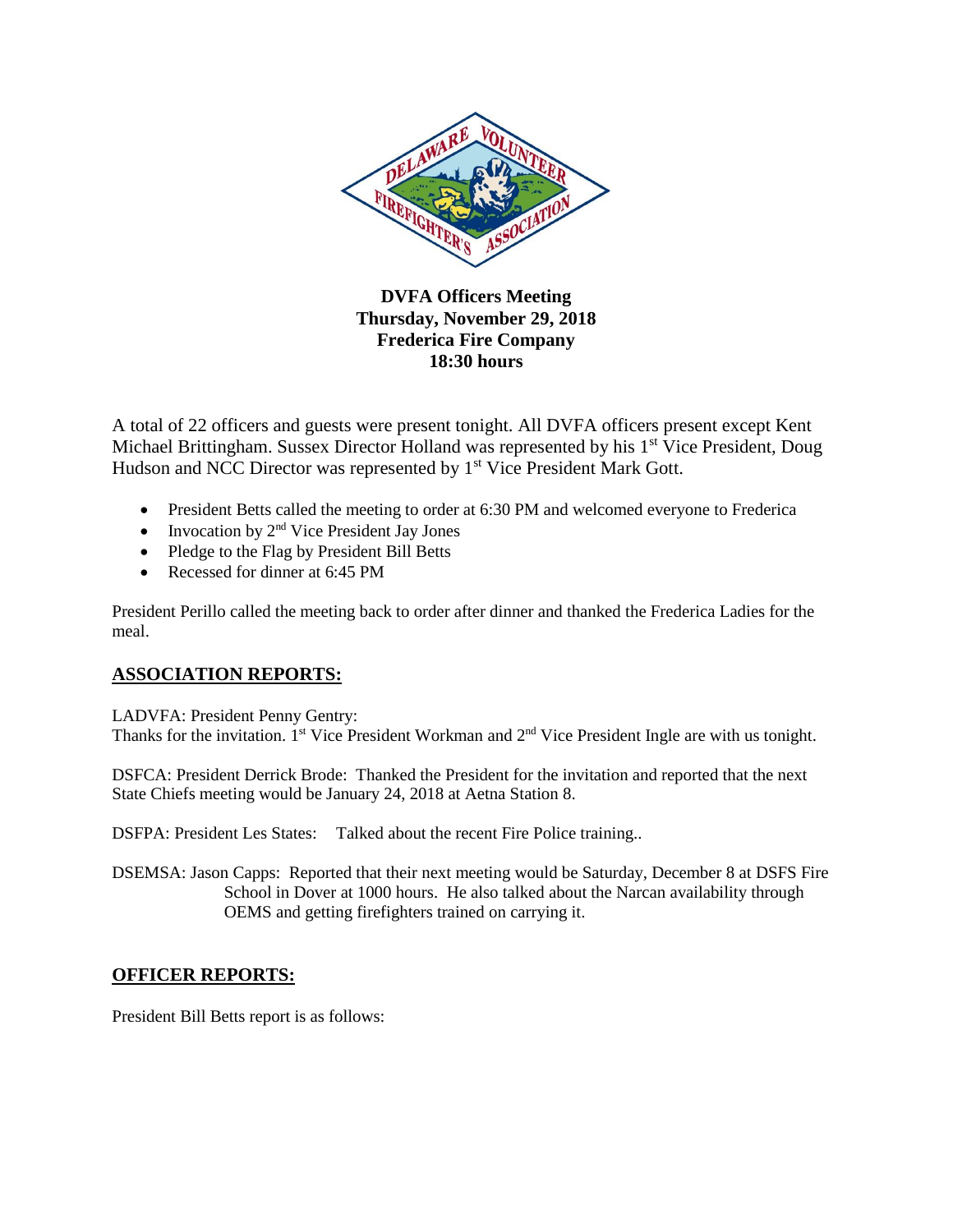

**DVFA Officers Meeting Thursday, November 29, 2018 Frederica Fire Company 18:30 hours**

A total of 22 officers and guests were present tonight. All DVFA officers present except Kent Michael Brittingham. Sussex Director Holland was represented by his 1<sup>st</sup> Vice President, Doug Hudson and NCC Director was represented by 1<sup>st</sup> Vice President Mark Gott.

- President Betts called the meeting to order at 6:30 PM and welcomed everyone to Frederica
- $\bullet$  Invocation by  $2<sup>nd</sup>$  Vice President Jay Jones
- Pledge to the Flag by President Bill Betts
- Recessed for dinner at 6:45 PM

President Perillo called the meeting back to order after dinner and thanked the Frederica Ladies for the meal.

## **ASSOCIATION REPORTS:**

LADVFA: President Penny Gentry: Thanks for the invitation. 1<sup>st</sup> Vice President Workman and 2<sup>nd</sup> Vice President Ingle are with us tonight.

DSFCA: President Derrick Brode: Thanked the President for the invitation and reported that the next State Chiefs meeting would be January 24, 2018 at Aetna Station 8.

DSFPA: President Les States: Talked about the recent Fire Police training..

DSEMSA: Jason Capps: Reported that their next meeting would be Saturday, December 8 at DSFS Fire School in Dover at 1000 hours. He also talked about the Narcan availability through OEMS and getting firefighters trained on carrying it.

## **OFFICER REPORTS:**

President Bill Betts report is as follows: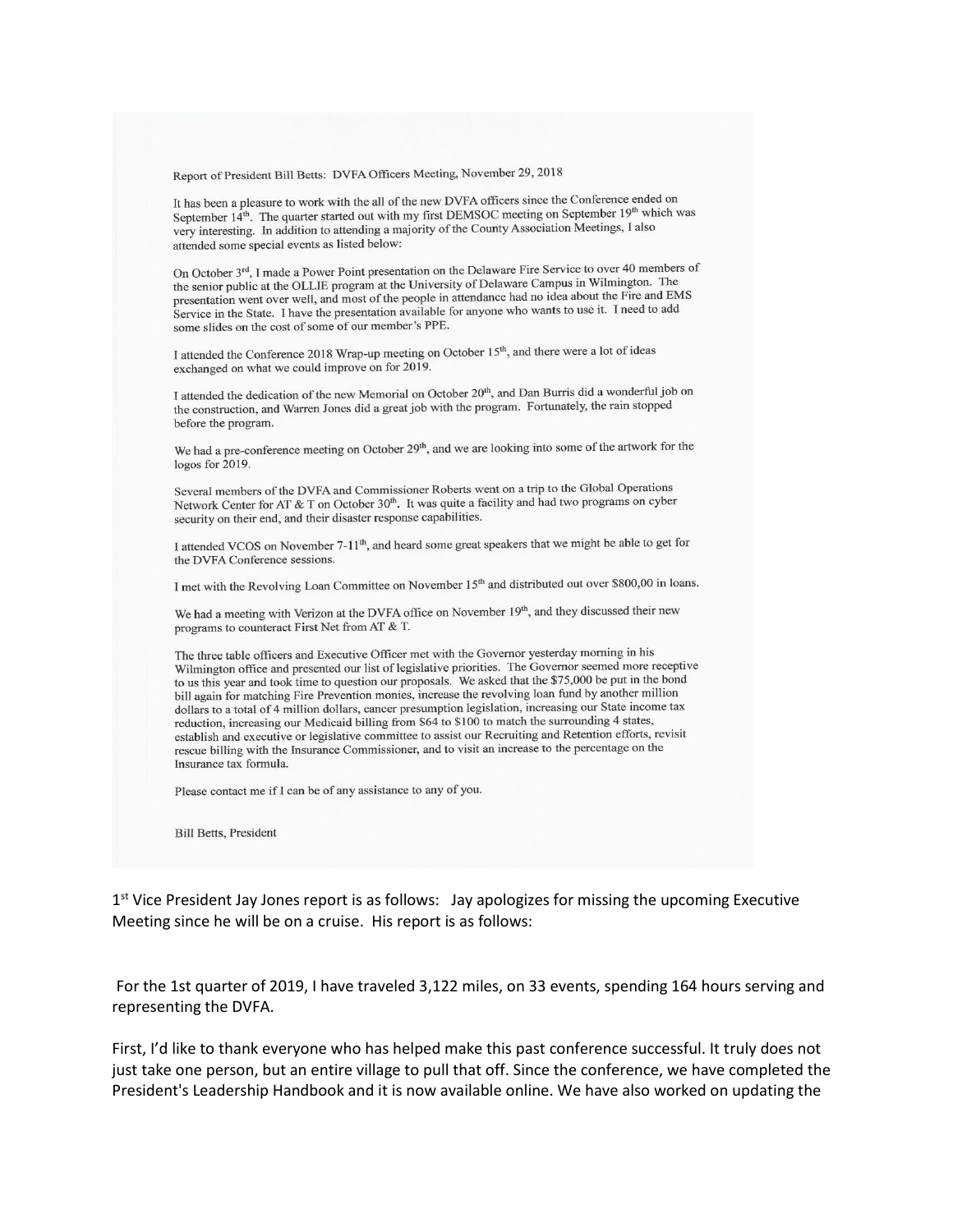Report of President Bill Betts: DVFA Officers Meeting, November 29, 2018

It has been a pleasure to work with the all of the new DVFA officers since the Conference ended on September 14<sup>th</sup>. The quarter started out with my first DEMSOC meeting on September 19<sup>th</sup> which was very interesting. In addition to attending a majority of the County Association Meetings, I also attended some special events as listed below:

On October 3<sup>rd</sup>, I made a Power Point presentation on the Delaware Fire Service to over 40 members of the senior public at the OLLIE program at the University of Delaware Campus in Wilmington. The presentation went over well, and most of the people in attendance had no idea about the Fire and EMS Service in the State. I have the presentation available for anyone who wants to use it. I need to add some slides on the cost of some of our member's PPE.

I attended the Conference 2018 Wrap-up meeting on October 15<sup>th</sup>, and there were a lot of ideas exchanged on what we could improve on for 2019.

I attended the dedication of the new Memorial on October 20<sup>th</sup>, and Dan Burris did a wonderful job on the construction, and Warren Jones did a great job with the program. Fortunately, the rain stopped before the program.

We had a pre-conference meeting on October 29<sup>th</sup>, and we are looking into some of the artwork for the logos for 2019.

Several members of the DVFA and Commissioner Roberts went on a trip to the Global Operations Network Center for AT & T on October 30<sup>th</sup>. It was quite a facility and had two programs on cyber security on their end, and their disaster response capabilities.

I attended VCOS on November 7-11<sup>th</sup>, and heard some great speakers that we might be able to get for the DVFA Conference sessions.

I met with the Revolving Loan Committee on November 15<sup>th</sup> and distributed out over \$800,00 in loans.

We had a meeting with Verizon at the DVFA office on November 19th, and they discussed their new programs to counteract First Net from AT & T.

The three table officers and Executive Officer met with the Governor yesterday morning in his Wilmington office and presented our list of legislative priorities. The Governor seemed more receptive to us this year and took time to question our proposals. We asked that the \$75,000 be put in the bond bill again for matching Fire Prevention monies, increase the revolving loan fund by another million dollars to a total of 4 million dollars, cancer presumption legislation, increasing our State income tax reduction, increasing our Medicaid billing from \$64 to \$100 to match the surrounding 4 states, establish and executive or legislative committee to assist our Recruiting and Retention efforts, revisit rescue billing with the Insurance Commissioner, and to visit an increase to the percentage on the Insurance tax formula.

Please contact me if I can be of any assistance to any of you.

**Bill Betts, President** 

 $1<sup>st</sup>$  Vice President Jay Jones report is as follows: Jay apologizes for missing the upcoming Executive Meeting since he will be on a cruise. His report is as follows:

For the 1st quarter of 2019, I have traveled 3,122 miles, on 33 events, spending 164 hours serving and representing the DVFA.

First, I'd like to thank everyone who has helped make this past conference successful. It truly does not just take one person, but an entire village to pull that off. Since the conference, we have completed the President's Leadership Handbook and it is now available online. We have also worked on updating the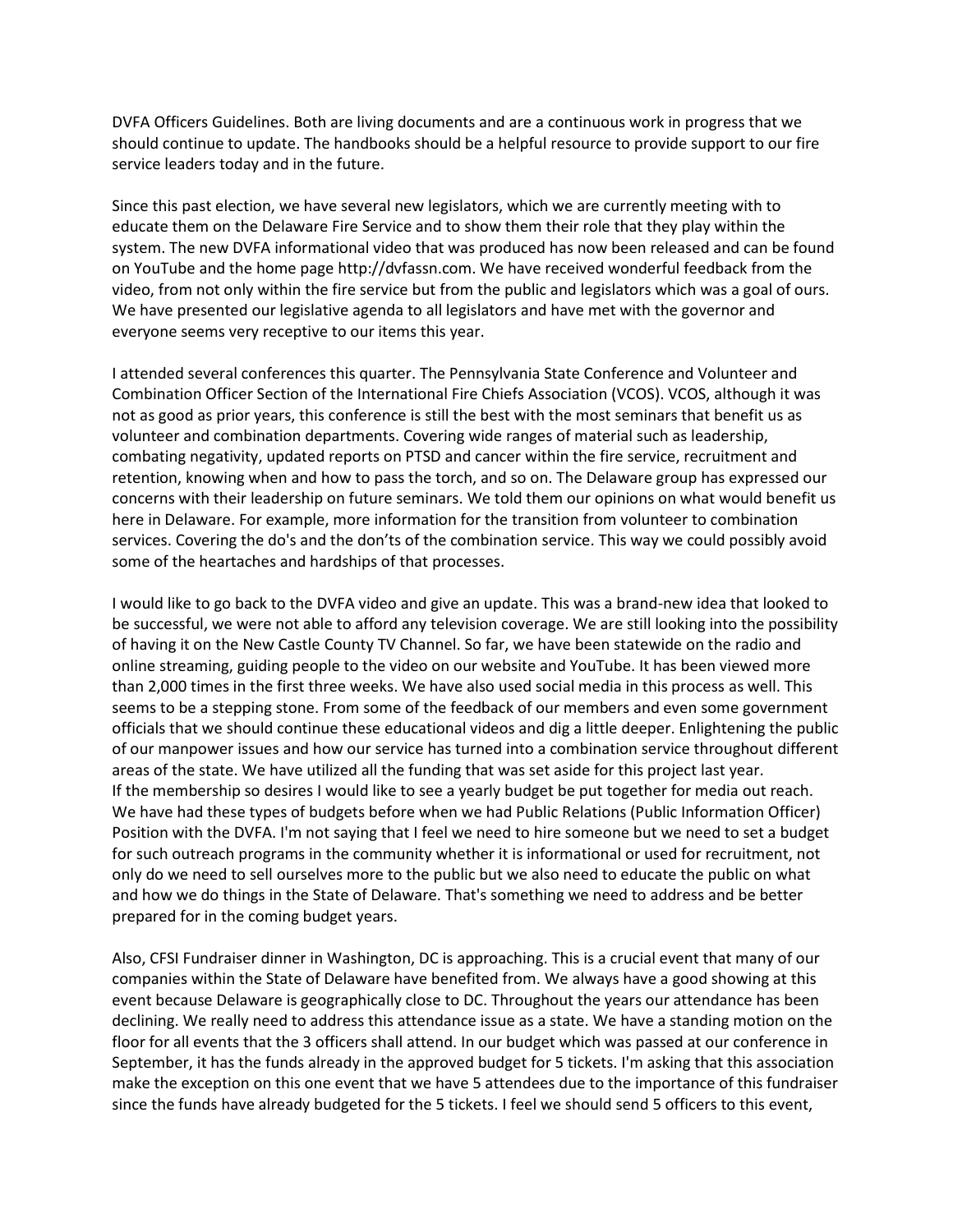DVFA Officers Guidelines. Both are living documents and are a continuous work in progress that we should continue to update. The handbooks should be a helpful resource to provide support to our fire service leaders today and in the future.

Since this past election, we have several new legislators, which we are currently meeting with to educate them on the Delaware Fire Service and to show them their role that they play within the system. The new DVFA informational video that was produced has now been released and can be found on YouTube and the home page http://dvfassn.com. We have received wonderful feedback from the video, from not only within the fire service but from the public and legislators which was a goal of ours. We have presented our legislative agenda to all legislators and have met with the governor and everyone seems very receptive to our items this year.

I attended several conferences this quarter. The Pennsylvania State Conference and Volunteer and Combination Officer Section of the International Fire Chiefs Association (VCOS). VCOS, although it was not as good as prior years, this conference is still the best with the most seminars that benefit us as volunteer and combination departments. Covering wide ranges of material such as leadership, combating negativity, updated reports on PTSD and cancer within the fire service, recruitment and retention, knowing when and how to pass the torch, and so on. The Delaware group has expressed our concerns with their leadership on future seminars. We told them our opinions on what would benefit us here in Delaware. For example, more information for the transition from volunteer to combination services. Covering the do's and the don'ts of the combination service. This way we could possibly avoid some of the heartaches and hardships of that processes.

I would like to go back to the DVFA video and give an update. This was a brand-new idea that looked to be successful, we were not able to afford any television coverage. We are still looking into the possibility of having it on the New Castle County TV Channel. So far, we have been statewide on the radio and online streaming, guiding people to the video on our website and YouTube. It has been viewed more than 2,000 times in the first three weeks. We have also used social media in this process as well. This seems to be a stepping stone. From some of the feedback of our members and even some government officials that we should continue these educational videos and dig a little deeper. Enlightening the public of our manpower issues and how our service has turned into a combination service throughout different areas of the state. We have utilized all the funding that was set aside for this project last year. If the membership so desires I would like to see a yearly budget be put together for media out reach. We have had these types of budgets before when we had Public Relations (Public Information Officer) Position with the DVFA. I'm not saying that I feel we need to hire someone but we need to set a budget for such outreach programs in the community whether it is informational or used for recruitment, not only do we need to sell ourselves more to the public but we also need to educate the public on what and how we do things in the State of Delaware. That's something we need to address and be better prepared for in the coming budget years.

Also, CFSI Fundraiser dinner in Washington, DC is approaching. This is a crucial event that many of our companies within the State of Delaware have benefited from. We always have a good showing at this event because Delaware is geographically close to DC. Throughout the years our attendance has been declining. We really need to address this attendance issue as a state. We have a standing motion on the floor for all events that the 3 officers shall attend. In our budget which was passed at our conference in September, it has the funds already in the approved budget for 5 tickets. I'm asking that this association make the exception on this one event that we have 5 attendees due to the importance of this fundraiser since the funds have already budgeted for the 5 tickets. I feel we should send 5 officers to this event,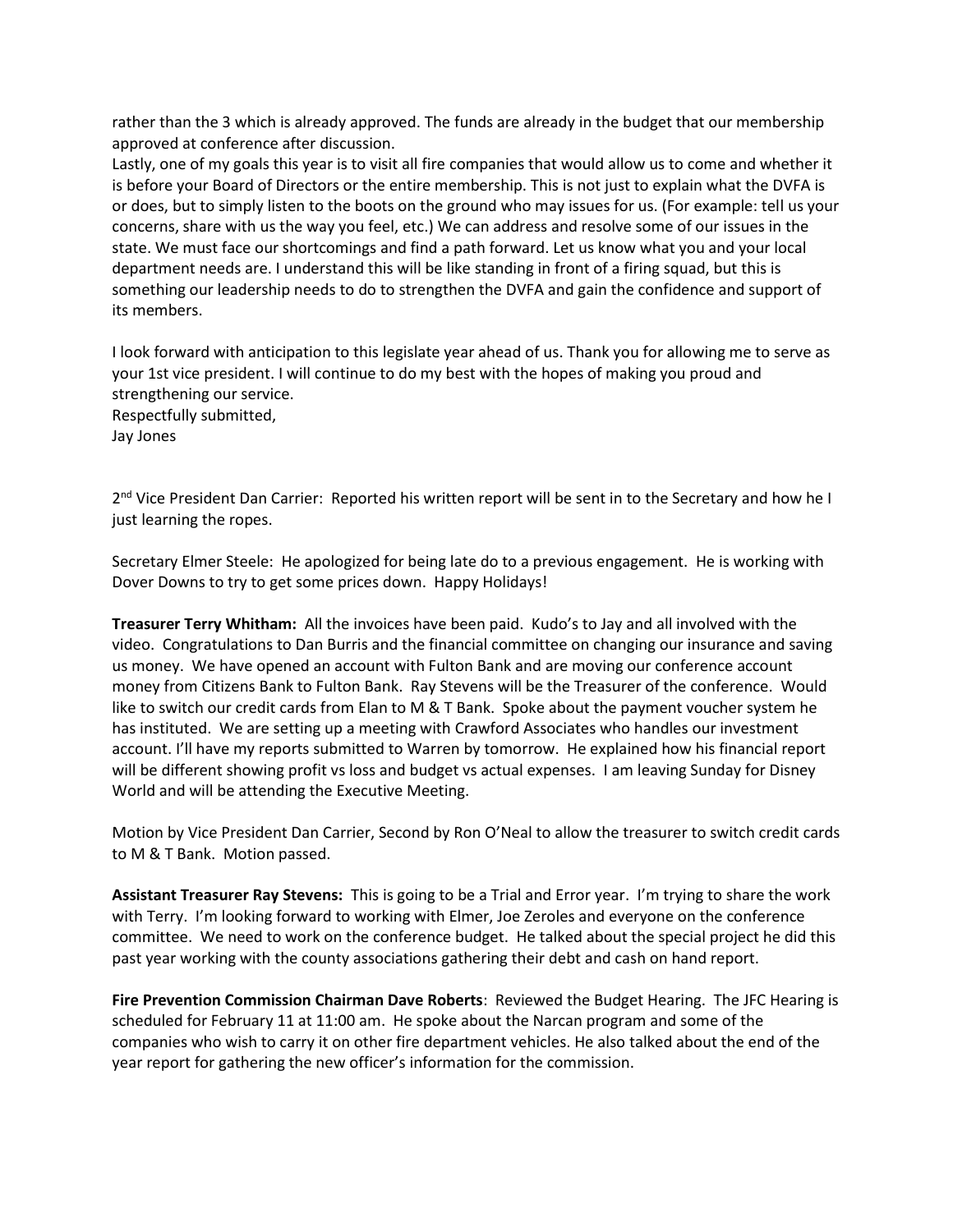rather than the 3 which is already approved. The funds are already in the budget that our membership approved at conference after discussion.

Lastly, one of my goals this year is to visit all fire companies that would allow us to come and whether it is before your Board of Directors or the entire membership. This is not just to explain what the DVFA is or does, but to simply listen to the boots on the ground who may issues for us. (For example: tell us your concerns, share with us the way you feel, etc.) We can address and resolve some of our issues in the state. We must face our shortcomings and find a path forward. Let us know what you and your local department needs are. I understand this will be like standing in front of a firing squad, but this is something our leadership needs to do to strengthen the DVFA and gain the confidence and support of its members.

I look forward with anticipation to this legislate year ahead of us. Thank you for allowing me to serve as your 1st vice president. I will continue to do my best with the hopes of making you proud and strengthening our service. Respectfully submitted, Jay Jones

2<sup>nd</sup> Vice President Dan Carrier: Reported his written report will be sent in to the Secretary and how he I just learning the ropes.

Secretary Elmer Steele: He apologized for being late do to a previous engagement. He is working with Dover Downs to try to get some prices down. Happy Holidays!

**Treasurer Terry Whitham:** All the invoices have been paid. Kudo's to Jay and all involved with the video. Congratulations to Dan Burris and the financial committee on changing our insurance and saving us money. We have opened an account with Fulton Bank and are moving our conference account money from Citizens Bank to Fulton Bank. Ray Stevens will be the Treasurer of the conference. Would like to switch our credit cards from Elan to M & T Bank. Spoke about the payment voucher system he has instituted. We are setting up a meeting with Crawford Associates who handles our investment account. I'll have my reports submitted to Warren by tomorrow. He explained how his financial report will be different showing profit vs loss and budget vs actual expenses. I am leaving Sunday for Disney World and will be attending the Executive Meeting.

Motion by Vice President Dan Carrier, Second by Ron O'Neal to allow the treasurer to switch credit cards to M & T Bank. Motion passed.

**Assistant Treasurer Ray Stevens:** This is going to be a Trial and Error year. I'm trying to share the work with Terry. I'm looking forward to working with Elmer, Joe Zeroles and everyone on the conference committee. We need to work on the conference budget. He talked about the special project he did this past year working with the county associations gathering their debt and cash on hand report.

**Fire Prevention Commission Chairman Dave Roberts**: Reviewed the Budget Hearing. The JFC Hearing is scheduled for February 11 at 11:00 am. He spoke about the Narcan program and some of the companies who wish to carry it on other fire department vehicles. He also talked about the end of the year report for gathering the new officer's information for the commission.